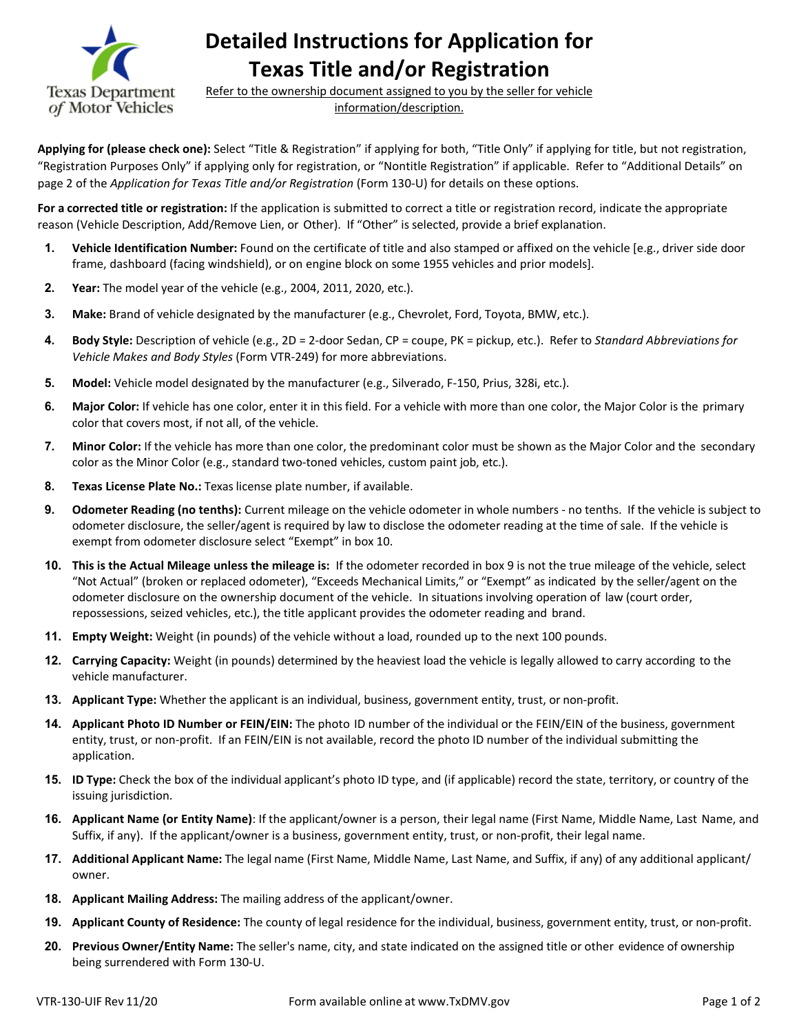

**Detailed Instructions for Application for Texas Title and/or Registration** 

Refer to the ownership document assigned to you by the seller for vehicle information/description.

 "Registration Purposes Only" if applying only for registration, or "Nontitle Registration" if applicable. Refer to "Additional Details" on **Applying for (please check one):** Select "Title & Registration" if applying for both, "Title Only" if applying for title, but not registration, page 2 of the *Application for Texas Title and/or Registration* (Form 130-U) for details on these options.

 **For a corrected title or registration:** If the application is submitted to correct a title or registration record, indicate the appropriate reason (Vehicle Description, Add/Remove Lien, or Other). If "Other" is selected, provide a brief explanation.

- **1. Vehicle Identification Number:** Found on the certificate of title and also stamped or affixed on the vehicle [e.g., driver side door frame, dashboard (facing windshield), or on engine block on some 1955 vehicles and prior models].
- **2. Year:** The model year of the vehicle (e.g., 2004, 2011, 2020, etc.).
- **3. Make:** Brand of vehicle designated by the manufacturer (e.g., Chevrolet, Ford, Toyota, BMW, etc.).
- **4. Body Style:** Description of vehicle (e.g., 2D = 2-door Sedan, CP = coupe, PK = pickup, etc.). Refer to *Standard Abbreviations for Vehicle Makes and Body Styles* (Form VTR-249) for more abbreviations.
- **5. Model:** Vehicle model designated by the manufacturer (e.g., Silverado, F-150, Prius, 328i, etc.).
- **6. Major Color:** If vehicle has one color, enter it in this field. For a vehicle with more than one color, the Major Color is the primary color that covers most, if not all, of the vehicle.
- **7. Minor Color:** If the vehicle has more than one color, the predominant color must be shown as the Major Color and the secondary color as the Minor Color (e.g., standard two-toned vehicles, custom paint job, etc.).
- **8. Texas License Plate No.:** Texas license plate number, if available.
- **9. Odometer Reading (no tenths):** Current mileage on the vehicle odometer in whole numbers no tenths. If the vehicle is subject to odometer disclosure, the seller/agent is required by law to disclose the odometer reading at the time of sale. If the vehicle is exempt from odometer disclosure select "Exempt" in box 10.
- **10. This is the Actual Mileage unless the mileage is:** If the odometer recorded in box 9 is not the true mileage of the vehicle, select "Not Actual" (broken or replaced odometer), "Exceeds Mechanical Limits," or "Exempt" as indicated by the seller/agent on the  odometer disclosure on the ownership document of the vehicle. In situations involving operation of law (court order, repossessions, seized vehicles, etc.), the title applicant provides the odometer reading and brand.
- **11. Empty Weight:** Weight (in pounds) of the vehicle without a load, rounded up to the next 100 pounds.
- vehicle manufacturer. **12. Carrying Capacity:** Weight (in pounds) determined by the heaviest load the vehicle is legally allowed to carry according to the
- **13. Applicant Type:** Whether the applicant is an individual, business, government entity, trust, or non-profit.
- entity, trust, or non-profit. If an FEIN/EIN is not available, record the photo ID number of the individual submitting the **14. Applicant Photo ID Number or FEIN/EIN:** The photo ID number of the individual or the FEIN/EIN of the business, government application.
- **15. ID Type:** Check the box of the individual applicant's photo ID type, and (if applicable) record the state, territory, or country of the  issuing jurisdiction.
- Suffix, if any). If the applicant/owner is a business, government entity, trust, or non-profit, their legal name. **16. Applicant Name (or Entity Name)**: If the applicant/owner is a person, their legal name (First Name, Middle Name, Last Name, and
- **17. Additional Applicant Name:** The legal name (First Name, Middle Name, Last Name, and Suffix, if any) of any additional applicant/ owner.
- **18. Applicant Mailing Address:** The mailing address of the applicant/owner.
- **19. Applicant County of Residence:** The county of legal residence for the individual, business, government entity, trust, or non-profit.
- **20. Previous Owner/Entity Name:** The seller's name, city, and state indicated on the assigned title or other evidence of ownership being surrendered with Form 130-U.